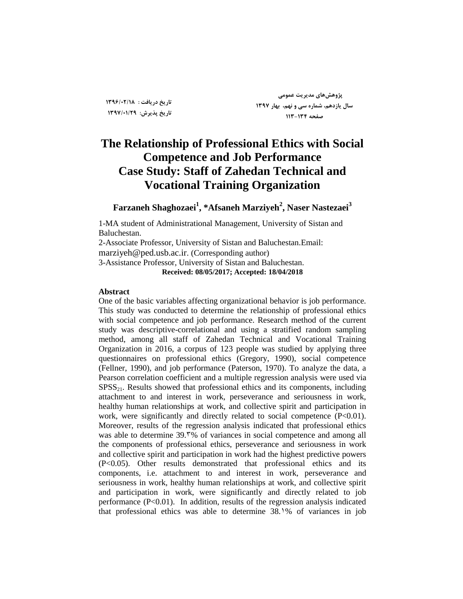**تاریخ دریافت : 1396/02/18 تاریخ پذیزش: 1397/01/29**

**پژٍّصّای هدیزیت عوَهی سال یاسدّن، ضوارُ سی ٍ ًْن، بْار 1397 صفحِ 113-134**

# **The Relationship of Professional Ethics with Social Competence and Job Performance Case Study: Staff of Zahedan Technical and Vocational Training Organization**

**Farzaneh Shaghozaei 1 , \*Afsaneh Marziyeh<sup>2</sup> , Naser Nastezaei<sup>3</sup>**

1-MA student of Administrational Management, University of Sistan and Baluchestan.

2-Associate Professor, University of Sistan and Baluchestan.Email: marziyeh@ped.usb.ac.ir. (Corresponding author) 3-Assistance Professor, University of Sistan and Baluchestan. **Received: 08/05/2017; Accepted: 18/04/2018**

#### **Abstract**

One of the basic variables affecting organizational behavior is job performance. This study was conducted to determine the relationship of professional ethics with social competence and job performance. Research method of the current study was descriptive-correlational and using a stratified random sampling method, among all staff of Zahedan Technical and Vocational Training Organization in 2016, a corpus of 123 people was studied by applying three questionnaires on professional ethics (Gregory, 1990), social competence (Fellner, 1990), and job performance (Paterson, 1970). To analyze the data, a Pearson correlation coefficient and a multiple regression analysis were used via  $SPSS<sub>21</sub>$ . Results showed that professional ethics and its components, including attachment to and interest in work, perseverance and seriousness in work, healthy human relationships at work, and collective spirit and participation in work, were significantly and directly related to social competence (P<0.01). Moreover, results of the regression analysis indicated that professional ethics was able to determine 39.<sup>\*</sup>% of variances in social competence and among all the components of professional ethics, perseverance and seriousness in work and collective spirit and participation in work had the highest predictive powers (P<0.05). Other results demonstrated that professional ethics and its components, i.e. attachment to and interest in work, perseverance and seriousness in work, healthy human relationships at work, and collective spirit and participation in work, were significantly and directly related to job performance (P<0.01). In addition, results of the regression analysis indicated that professional ethics was able to determine 38.1% of variances in job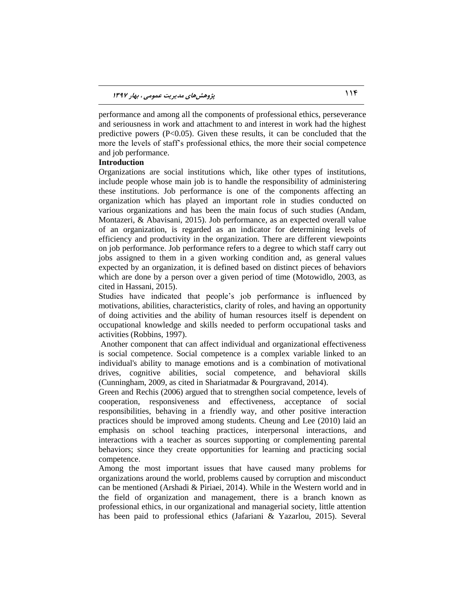performance and among all the components of professional ethics, perseverance and seriousness in work and attachment to and interest in work had the highest predictive powers  $(P<0.05)$ . Given these results, it can be concluded that the more the levels of staff's professional ethics, the more their social competence and job performance.

### **Introduction**

Organizations are social institutions which, like other types of institutions, include people whose main job is to handle the responsibility of administering these institutions. Job performance is one of the components affecting an organization which has played an important role in studies conducted on various organizations and has been the main focus of such studies (Andam, Montazeri, & Abavisani, 2015). Job performance, as an expected overall value of an organization, is regarded as an indicator for determining levels of efficiency and productivity in the organization. There are different viewpoints on job performance. Job performance refers to a degree to which staff carry out jobs assigned to them in a given working condition and, as general values expected by an organization, it is defined based on distinct pieces of behaviors which are done by a person over a given period of time (Motowidlo, 2003, as cited in Hassani, 2015).

Studies have indicated that people's job performance is influenced by motivations, abilities, characteristics, clarity of roles, and having an opportunity of doing activities and the ability of human resources itself is dependent on occupational knowledge and skills needed to perform occupational tasks and activities (Robbins, 1997).

Another component that can affect individual and organizational effectiveness is social competence. Social competence is a complex variable linked to an individual's ability to manage emotions and is a combination of motivational drives, cognitive abilities, social competence, and behavioral skills (Cunningham, 2009, as cited in Shariatmadar & Pourgravand, 2014).

Green and Rechis (2006) argued that to strengthen social competence, levels of cooperation, responsiveness and effectiveness, acceptance of social responsibilities, behaving in a friendly way, and other positive interaction practices should be improved among students. Cheung and Lee (2010) laid an emphasis on school teaching practices, interpersonal interactions, and interactions with a teacher as sources supporting or complementing parental behaviors; since they create opportunities for learning and practicing social competence.

Among the most important issues that have caused many problems for organizations around the world, problems caused by corruption and misconduct can be mentioned (Arshadi & Piriaei, 2014). While in the Western world and in the field of organization and management, there is a branch known as professional ethics, in our organizational and managerial society, little attention has been paid to professional ethics (Jafariani & Yazarlou, 2015). Several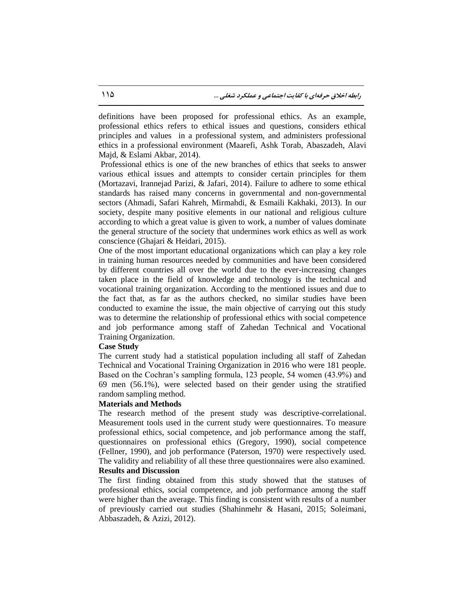definitions have been proposed for professional ethics. As an example, professional ethics refers to ethical issues and questions, considers ethical principles and values in a professional system, and administers professional ethics in a professional environment (Maarefi, Ashk Torab, Abaszadeh, Alavi Majd, & Eslami Akbar, 2014).

Professional ethics is one of the new branches of ethics that seeks to answer various ethical issues and attempts to consider certain principles for them (Mortazavi, Irannejad Parizi, & Jafari, 2014). Failure to adhere to some ethical standards has raised many concerns in governmental and non-governmental sectors (Ahmadi, Safari Kahreh, Mirmahdi, & Esmaili Kakhaki, 2013). In our society, despite many positive elements in our national and religious culture according to which a great value is given to work, a number of values dominate the general structure of the society that undermines work ethics as well as work conscience (Ghajari & Heidari, 2015).

One of the most important educational organizations which can play a key role in training human resources needed by communities and have been considered by different countries all over the world due to the ever-increasing changes taken place in the field of knowledge and technology is the technical and vocational training organization. According to the mentioned issues and due to the fact that, as far as the authors checked, no similar studies have been conducted to examine the issue, the main objective of carrying out this study was to determine the relationship of professional ethics with social competence and job performance among staff of Zahedan Technical and Vocational Training Organization.

#### **Case Study**

The current study had a statistical population including all staff of Zahedan Technical and Vocational Training Organization in 2016 who were 181 people. Based on the Cochran's sampling formula, 123 people, 54 women (43.9%) and 69 men (56.1%), were selected based on their gender using the stratified random sampling method.

#### **Materials and Methods**

The research method of the present study was descriptive-correlational. Measurement tools used in the current study were questionnaires. To measure professional ethics, social competence, and job performance among the staff, questionnaires on professional ethics (Gregory, 1990), social competence (Fellner, 1990), and job performance (Paterson, 1970) were respectively used. The validity and reliability of all these three questionnaires were also examined.

#### **Results and Discussion**

The first finding obtained from this study showed that the statuses of professional ethics, social competence, and job performance among the staff were higher than the average. This finding is consistent with results of a number of previously carried out studies (Shahinmehr & Hasani, 2015; Soleimani, Abbaszadeh, & Azizi, 2012).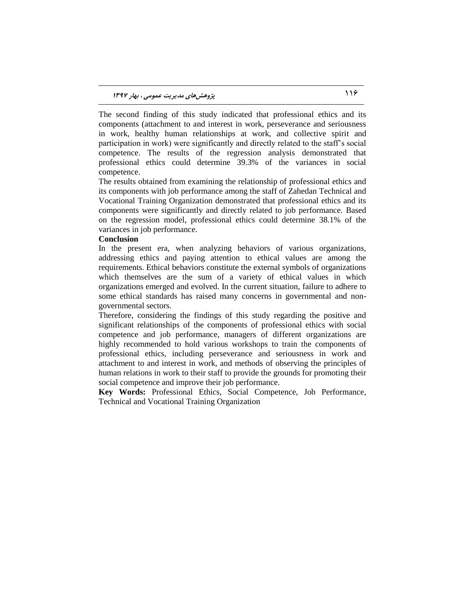The second finding of this study indicated that professional ethics and its components (attachment to and interest in work, perseverance and seriousness in work, healthy human relationships at work, and collective spirit and participation in work) were significantly and directly related to the staff's social competence. The results of the regression analysis demonstrated that professional ethics could determine 39.3% of the variances in social competence.

The results obtained from examining the relationship of professional ethics and its components with job performance among the staff of Zahedan Technical and Vocational Training Organization demonstrated that professional ethics and its components were significantly and directly related to job performance. Based on the regression model, professional ethics could determine 38.1% of the variances in job performance.

#### **Conclusion**

In the present era, when analyzing behaviors of various organizations, addressing ethics and paying attention to ethical values are among the requirements. Ethical behaviors constitute the external symbols of organizations which themselves are the sum of a variety of ethical values in which organizations emerged and evolved. In the current situation, failure to adhere to some ethical standards has raised many concerns in governmental and nongovernmental sectors.

Therefore, considering the findings of this study regarding the positive and significant relationships of the components of professional ethics with social competence and job performance, managers of different organizations are highly recommended to hold various workshops to train the components of professional ethics, including perseverance and seriousness in work and attachment to and interest in work, and methods of observing the principles of human relations in work to their staff to provide the grounds for promoting their social competence and improve their job performance.

**Key Words:** Professional Ethics, Social Competence, Job Performance, Technical and Vocational Training Organization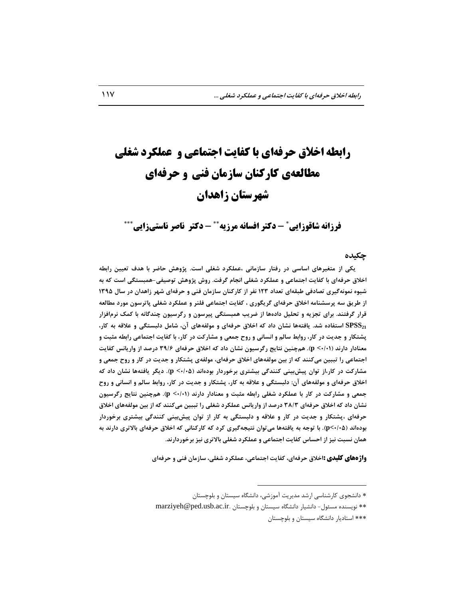# **رابطه اخالق حرفهای با کفایت اجتماعی و عملکرد شغلی مطالعهی کارکنان سازمان فنی و حرفهای شهرستان زاهدان**

**فرزانه شاقوزایی - دکتر افسانه مرزیه - دکتر ناصر ناستیزایی**

#### **چکیده**

 **یکی اس هتغيزّای اساسی در رفتار ساسهاًی ،عولکزد ضغلی است. پژٍّص حاضز با ّدف تعييي رابطِ اخالق حزفِای با کفایت اجتواعی ٍ عولکزد ضغلی اًجام گزفت. رٍش پژٍّص تَصيفیّ-وبستگی است کِ بِ ضيَُ ًوًَِگيزی تصادفی طبمِای تعداد 123 ًفز اس کارکٌاى ساسهاى فٌی ٍ حزفِای ضْز ساّداى در سال 1395 اس طزیك سِ پزسطٌاهِ اخالق حزفِای گزیگَری ، کفایت اجتواعی فلٌز ٍ عولکزد ضغلی پاتزسَى هَرد هطالعِ**  قرار گرفتند. برای تجزیه و تحلیل دادهها از ضریب همبستگی پیرسون و رگرسیون چندگانه با کمک نرمافزار **ّا ًطاى داد کِ اخالق حزفِای ٍ هَلفِّای آى، ضاهل دلبستگی ٍ عاللِ بِ کار، 21SPSS استفادُ ضد. یافتِ پطتکار ٍ جدیت در کار، رٍابط سالن ٍ اًساًی ٍ رٍح جوعی ٍ هطارکت در کار، با کفایت اجتواعی رابطِ هثبت ٍ هعٌادار دارًد )0/01> p). ّنچٌيي ًتایج رگزسيَى ًطاى داد کِ اخالق حزفِای 39/6 درصد اس ٍاریاًس کفایت**  اجتماعی را تببین میکنند که از بین مولفههای اخلاق حرفهای، مولفهی پشتکار و جدیت در کار و روح جمعی و هشارکت در کار،از توان پیشبینی کنندگی بیشتری برخوردار بودهاند (۵۰/۰۵). دیگر یافتهها نشان داد که **اخالق حزفِای ٍ هَلفِّای آى: دلبستگی ٍ عاللِ بِ کار، پطتکار ٍ جدیت در کار، رٍابط سالن ٍ اًساًی ٍ رٍح** جمعی و مشارکت در کار با عملکرد شغلی رابطه مثبت و معنادار دارند (n <-/+). همچنين نتایج رگرسيون **ًطاى داد کِ اخالق حزفِای 38/3 درصد اس ٍاریاًس عولکزد ضغلی را تببيي هیکٌٌد کِ اس بيي هَلفِّای اخالق**  حرفهای ،پشتکار و جدیت در کار و علاقه و دلبستگی به کار از توان پیش،بینی کنندگی بیشتری برخوردار **بَدُاًد )0/05>p). با تَجِ بِ یافتِّا هیتَاى ًتيجِگيزی کزد کِ کارکٌاًی کِ اخالق حزفِای باالتزی دارًد بِ**  همان نسبت نيز از احساس کفايت اجتماعی و عملکرد شغلی بالاتری نيز برخوردارند.

**واژههای کلیدی :**اخلاق حرفهای، کفایت اجتماعی، عملکرد شغلی، سازمان فنی و حرفهای

 $\overline{a}$ 

<sup>\*</sup> دانشجوی کارشناسی ارشد مدیریت آموزشی، دانشگاه سیستان و بلوچستان

marziyeh@ped.usb.ac.ir. نویسنده مسئول- دانشیار دانشگاه سیستان و بلوچستان \*\*\* استادیار دانشگاه سیستان و بلوچستان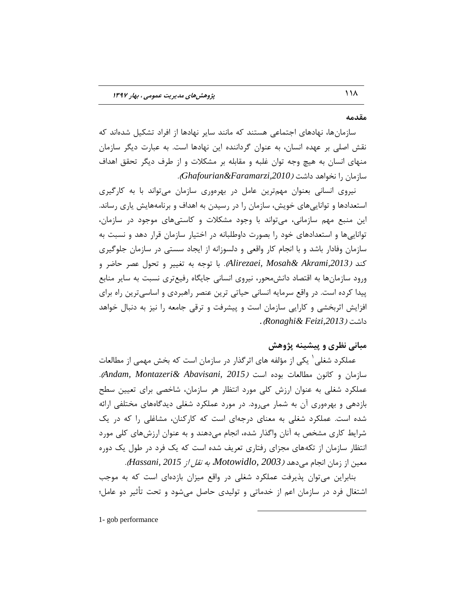#### **همدهِ**

سازمانها، نهادهای اجتماعی هستند که مانند سایر نهادها از افراد تشکیل شدهاند که نقش اصلی بر عهده انسان، به عنوان گرداننده این نهادها است. به عبارت دیگر سازمان منهای انسان به هیچ وجه توان غلبه و مقابله بر مشكلات و از طرف دیگر تحقق اهداف ؾبظهبى ضا ًرَاّس زاقت )*,2010Faramarzi&Ghafourian*).

نیروی انسانی بعنوان مهمترین عامل در بهرهوری سازمان میتواند با به کارگیری استعدادها و تواناییهای خویش، سازمان را در رسیدن به اهداف و برنامههایش یاری رساند. این منبع مهم سازمانی، میتواند با وجود مشکلات و کاستیهای موجود در سازمان، تواناییها و استعدادهای خود را بصورت داوطلبانه در اختیار سازمان قرار دهد و نسبت به سازمان وفادار باشد و با انجام کار واقعی و دلسوزانه از ایجاد سستی در سازمان جلوگیری كند *(Alirezaei, Mosah & Akrami,2013).* با توجه به تغییر و تحول عصر حاضر و ورود سازمانها به اقتصاد دانش،حور، نیروی انسانی جایگاه رفیعتری نسبت به سایر منابع پیدا کرده است. در واقع سرمایه انسانی حیاتی ترین عنصر راهبردی و اساسی ترین راه برای افزایش اثربخشی و كارایی سازمان است و پیشرفت و ترقی جامعه را نیز به دنبال خواهد *.*)*Ronaghi& Feizi,2013*( زاقت

# هبانی نظری و پیشینه پژوهش

عملکرد شغلی ٰ یکی از مؤلفه های اثرگذار در سازمان است که بخش مهمی از مطالعات سازمان و كانون مطالعات بوده است *(Andam, Montazeri & Abavisani, 2015).* عملکرد شغلی به عنوان ارزش کلی مورد انتظار هر سازمان، شاخصی برای تعیین سطح بازدهی و بهرهوری آن به شمار می رود. در مورد عملکرد شغلی دیدگاههای مختلفی ارائه شده است. عملکرد شغلی به معنای درجهای است که کارکنان، مشاغلی را که در یک شرایط کاری مشخص به آنان واگذار شده، انجام میدهند و به عنوان ارزشهای کلی مورد انتظار سازمان از تكههای مجزای رفتاری تعریف شده است كه یک فرد در طول یک دوره هؼیي اظ ظهبى اًدبم هیزّس )*2003 ,Motowidlo*، ثِ ًمل اظ *2015 ,Hassani*).

بنابراین می توان پذیرفت عملکرد شغلی در واقع میزان بازدهای است که به موجب اشتغال فرد در سازمان اعم از خدماتی و تولیدی حاصل می شود و تحت تأثیر دو عامل؛

 $\overline{a}$ 

1- gob performance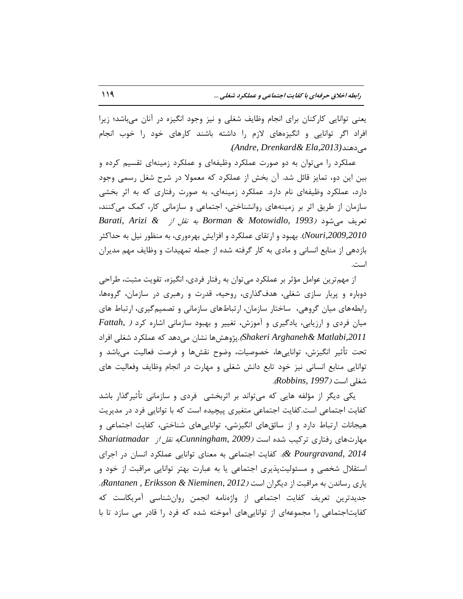یعنی توانایی کارکنان برای انجام وظایف شغلی و نیز وجود انگیزه در آنان میباشد؛ زیرا افراد اگر توانایی و انگیزههای لازم را داشته باشند کارهای خود را خوب انجام .*(Andre, Drenkard& Ela,2013)*سٌّهیز

عملکرد را میتوان به دو صورت عملکرد وظیفهای و عملکرد زمینهای تقسیم کرده و بین این دو، تمایز قائل شد. آن بخش از عملکرد که معمولا در شرح شغل رسمی وجود دارد، عملکرد وظیفِهای نام دارد. عملکرد زمینهای، به صورت رفتاری که به اثر بخشی سازمان از طریق اثر بر زمینههای روانشناختی، اجتماعی و سازمانی کار، کمک میکنند، تؼطیف هیقَز )*1993 ,Motowidlo & Borman* ثِ ًمل اظ *& Arizi ,Barati Nouri,2009,2010). ب*هبود و ارتقای عملکرد و افزایش بهرهوری، به منظور نیل به حداکثر بازدهی از منابع انسانی و مادی به کار گرفته شده از جمله تمهیدات و وظایف مهم مدیران است.

از مهم ترین عوامل مؤثر بر عملکرد می توان به رفتار فردی، انگیزه، تقویت مثبت، طراحی دوباره و پربار سازی شغلی، هدف گذاری، روحیه، قدرت و رهبری در سازمان، گروهها، رابطههای میان گروهی، ساختار سازمان، ارتباطهای سازمانی و تصمیم گیری، ارتباط های هیان فردی و ارزیابی، یادگیری و آموزش، تغییر و بهبود سازمانی اشاره کرد *( Fattah Shakeri Arghaneh & Matlabi,2011.پ*ژوهشها نشان میٍدهد كه عملكرد شغلی افراد تحت تأثیر انگیزش، تواناییها، خصوصیات، وضوح نقشها و فرصت فعالیت میباشد و توانایی منابع انسانی نیز خود تابع دانش شغلی و مهارت در انجام وظایف وفعالیت های قغلی اؾت )*1997 ,Robbins*).

یکی دیگر از مؤلفه هایی که میتواند بر اثربخشی ِ فردی و سازمانی تأثیرگذار باشد کفایت اجتماعی است.کفایت اجتماعی متغیری پیچیده است که با توانایی فرد در مدیریت هیجانات ارتباط دارد و از سائقهای انگیزشی، تواناییهای شناختی، کفایت اجتماعی و هْبضتّبی ضفتبضی تطویت قسُ اؾت )*2009 ,Cunningham*ثِ ًمل اظ *Shariatmadar e Pourgravand, 2014).* كفایت اجتماعی به معنای توانایی عملكرد انسان در اجرای استقلال شخصی و مسئولیتپذیری اجتماعی یا به عبارت بهتر توانایی مراقبت از خود و یبضی ضؾبًسى ثِ هطالجت اظ زیگطاى اؾت )*2012 ,Nieminen & Eriksson , Rantanen*). جدیدترین تعریف کفایت اجتماعی از واژهنامه انجمن روانشناسی آمریکاست که کفایتاجتماعی را مجموعهای از تواناییهای آموخته شده که فرد را قادر می سازد تا با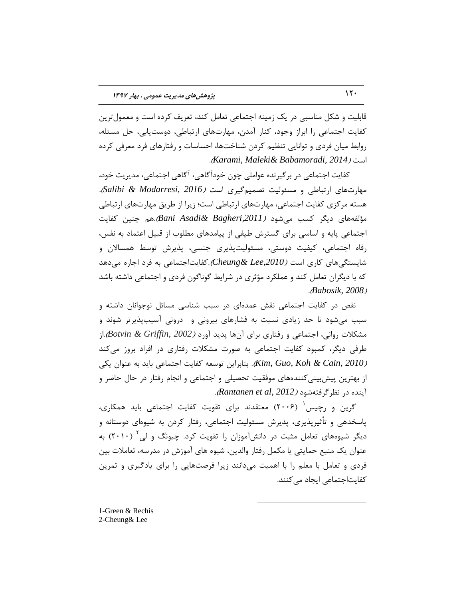قابلیت و شکل مناسبی در یک زمینه اجتماعی تعامل کند، تعریف کرده است و معمولترین كفایت اجتماعی را ابراز وجود، كنار آمدن، مهارتهای ارتباطی، دوستیابی، حل مسئله، روابط میان فردی و توانایی تنظیم کردن شناختها، احساسات و رفتارهای فرد معرفی کرده .)*Karami, Maleki& Babamoradi, 2014*( اؾت

کفایت اجتماعی در بر گیرنده عواملی چون خودآگاهی، آگاهی اجتماعی، مدیریت خود، ههارتهای ارتباطی و مسئولیت تصمیمگیری است *(Salibi & Modarresi, 2016).* هسته مرکزی کفایت اجتماعی، مهارتهای ارتباطی است؛ زیرا از طریق مهارتهای ارتباطی هؤلفِّبی زیگط وؿت هیقَز )*,2011Bagheri& Asadi Bani*)ّ.ن چٌیي وفبیت اجتماعی پایه و اساسی برای گسترش طیفی از پیامدهای مطلوب از قبیل اعتماد به نفس، رفاه اجتماعی، کیفیت دوستی، مسئولیتپذیری جنسی، پذیرش توسط همسالان و شایستگی های کاری است *(Cheung & Lee,2010). کفایت اجتماعی* به فرد اجاره می دهد که با دیگران تعامل کند و عملکرد مؤثری در شرایط گوناگون فردی و اجتماعی داشته باشد .)*Babosik, 2008*(

نقص در کفایت اجتماعی نقش عمدهای در سبب شناسی مسائل نوجوانان داشته و سبب میشود تا حد زیادی نسبت به فشارهای بیرونی و درونی آسیبپذیرتر شوند و هشكلات روانی، اجتماعی و رفتاری برای آنها پدید آورد *(Botvin & Griffin, 2002)*.از طرفی دیگر، کمبود کفایت اجتماعی به صورت مشکلات رفتاری در افراد بروز می کند *(2010 Kim, Guo, Koh & Cain, 2010).* بنابراین توسعه کفایت اجتماعی باید به عنوان یکی از بهترين پیش بینی کنندههای موفقیت تحصیلی و اجتماعی و انجام رفتار در حال حاضر و آیٌسُ زض ًظطگطفتِقَز )*2012 ,al et Rantanen*).

گرین و رچیس<sup>'</sup> (۲۰۰۶) معتقدند برای تقویت کفایت اجتماعی باید همکاری**،** پاسخدهی و تأثیرپذیری، پذیرش مسئولیت اجتماعی، رفتار کردن به شیوهای دوستانه و دیگر شیوههای تعامل مثبت در دانشآموزان را تقویت کرد. چیونگ و لی<sup>۲</sup> (۲۰۱۰) به عنوان یک منبع حمایتی یا مکمل رفتار والدین، شیوه های آموزش در مدرسه، تعاملات بین فردی و تعامل با معلم را با اهمیت می دانند زیرا فرصتهایی را برای یادگیری و تمرین کفایتاجتماعی ایجاد می کنند.

 $\overline{a}$ 

1-Green & Rechis 2-Cheung& Lee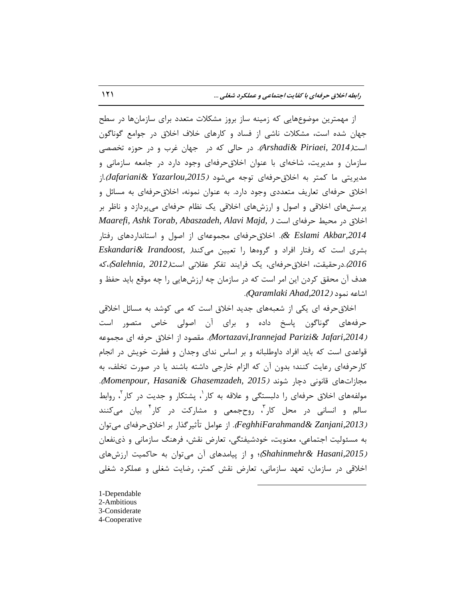از مهمترین موضوعهایی که زمینه ساز بروز مشکلات متعدد برای سازمانها در سطح جهان شده است، مشكلات ناشی از فساد و كارهای خلاف اخلاق در جوامع گوناگون است*(Arshadi& Piriaei, 2014).* در حالی که در جهان غرب و در حوزه تخصصی سازمان و مدیریت، شاخهای با عنوان اخلاقحرِفهای وجود دارد در جامعه سازمانی و هدیریتی ما کمتر به اخلاقحرفهای توجه میشود *(Jafariani& Yazarlou,2015).*از اخلاق حرفهای تعاریف متعددی وجود دارد. به عنوان نمونه، اخلاق حرفهای به مسائل و پرسشهای اخلاقی و اصول و ارزشهای اخلاقی یک نظام حرفهای میپردازد و ناظر بر اذالق زض هحیظ حطفِای اؾت ) *,Majd Alavi ,Abaszadeh ,Torab Ashk ,Maarefi ,2014Akbar Eslami*)*&* . اذالقحطفِای هدوَػِای اظ انَل ٍ اؾتبًساضزّبی ضفتبض ثكطی اؾت وِ ضفتبض افطاز ٍ گطٍُّب ضا تؼییي هیوٌس) *,Irandoost& Eskandari 2016*(.زضحمیمت، اذالقحطفِای، یه فطایٌس تفىط ػمالًی اؾت)*2012 ,Salehnia*)،وِ هدف آن محقق کردن این امر است که در سازمان چه ارزشهایی را چه موقع باید حفظ و اقبػِ ًوَز )*,2012Ahad Qaramlaki*).

اخلاقِ حرفهِ ای یکی از شعبههای جِدید اخلاق است که می کوشد به مسائل اخلاقی حرفههای گوناگون پاسخ داده و برای آن اصولی خاص متصور است *(Mortazavi,Irannejad Parizi& Jafari,2014).* مقصوِد از اخلاق حرفه ای مجموعه قواعدی است که باید افراد داوطلبانه و بر اساس ندای وجدان و فطرت خویش در انجام کارحرفهای رعایت کنند؛ بدون آن که الزام خارجی داشته باشند یا در صورت تخلف، به هدبظاتّبی لبًًَی زچبض قًَس )*2015 ,Ghasemzadeh& Hasani ,Momenpour*). مولفههای اخلاق حرفهای را دلبستگی و علاقه به کار <sup>۱</sup>، پشتکار و جدیت در کار <sup>۲</sup>، روابط سالم و انسانی در محل کار<sup>"</sup>، روحجمعی و مشارکت در کار<sup>۴</sup> بیان میکنند )*,2013Zanjani& FeghhiFarahmand*). اظ ػَاهل تأثیطگصاض ثط اذالقحطفِای هیتَاى به مسئولیت اجتماعی، معنویت، خودشیفتگی، تعارض نقش، فرهنگ سازمانی و ذینفعان )*,2015Hasani& Shahinmehr*)؛ ٍ اظ پیبهسّبی آى هیتَاى ثِ حبوویت اضظـّبی اخلاقی در سازمان، تعهد سازمانی، تعارض نقش کمتر، رضایت شغلی و عملکرد شغلی

 $\overline{a}$ 

1-Dependable 2-Ambitious 3-Considerate 4-Cooperative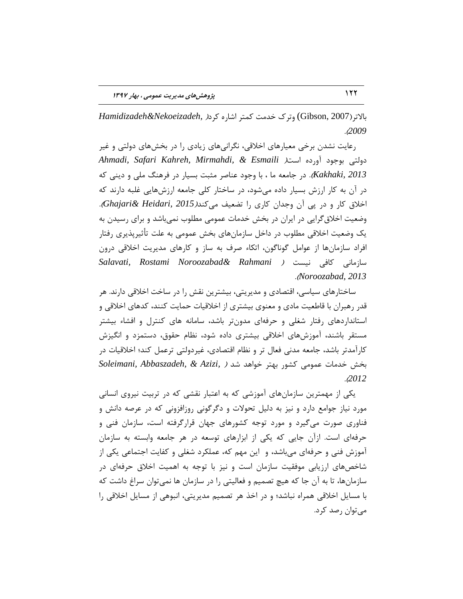ثبالتط)2007 ,Gibson (ٍتطن ذسهت ووتط اقبضُ وطز) *,Nekoeizadeh&Hamidizadeh* .)*2009*

رعایت نشدن برخی معیارهای اخلاقی، نگرانیهای زیادی را در بخشهای دولتی و غیر زٍلتی ثَخَز آٍضزُ اؾت) *Esmaili & ,Mirmahdi ,Kahreh Safari ,Ahmadi Kakhaki, 2013).* در جامعه ما ، با وجود عناصر مثبت بسیار در فرهنگ ملی و دینی که در آن به کار ارزش بسیار داده می شود، در ساختار کلی جامعه ارزشهایی غلبه دارند که اذالق وبض ٍ زض پی آى ٍخساى وبضی ضا تضؼیف هیوٌس)*2015 ,Heidari& Ghajari*). وضعیت اخلاق گرایی در ایران در بخش خدمات عمومی مطلوب نمی باشد و برای رسیدن به یک وضعیت اخلاقی مطلوب در داخل سازمانهای بخش عمومی به علت تأثیرپذیری رفتار افراد سازمانها از عوامل گوناگون، اتكاء صرف به ساز و كارهاى مدیریت اخلاقی درون ؾبظهبًی وبفی ًیؿت ) *Rahmani& Noroozabad Rostami ,Salavati* .)*Noroozabad, 2013*

ساختارهای سیاسی، اقتصادی و مدیریتی، بیشترین نقش را در ساخت اخلاقی دارند. هر قدر رهبران با قاطعیت مادی و معنوی بیشتری از اخلاقیات حمایت كنند، كدهای اخلاقی و استانداردهای رفتار شغلی و حرفهای مدونتر باشد، سامانه های كنترل و افشاء بیشتر مستقر باشند، آموزشهای اخلاقی بیشتری داده شود، نظام حقوق، دستمزد و انگیزش کارآمدتر باشد، جامعه مدنی فعال تر و نظام اقتصادی، غیردولتی ترعمل کند؛ اخلاقیات در ثرف ذسهبت ػوَهی وكَض ثْتط ذَاّس قس ) *,Azizi & ,Abbaszadeh ,Soleimani* .)*2012*

یکی از مهمترین سازمانهای آموزشی که به اعتبار نقشی که در تربیت نیروی انسانی مورد نیاز جوامع دارد و نیز به دلیل تحولات و دگرگونی روزافزونی که در عرصه دانش و فناوری صورت میگیرد و مورد توجه كشورهای جهان قرارگرفته است، سازمان فنی و حرفهای است. ازآن جایی که یکی از ابزارهای توسعه در هر جامعه وابسته به سازمان آموزش فنی و حرفهای میباشد، و این مهم که، عملکرد شغلی و کفایت اجتماعی یکی از شاخصهای ارزیابی موفقیت سازمان است و نیز با توجه به اهمیت اخلاق حرفهای در سازمانها، تا به آن جا که هیچ تصمیم و فعالیتی را در سازمان ها نمی توان سراغ داشت که با مسایل اخلاقی همراه نباشد؛ و در اخذ هر تصمیم مدیریتی، انبوهی از مسایل اخلاقی را می توان رصد کرد.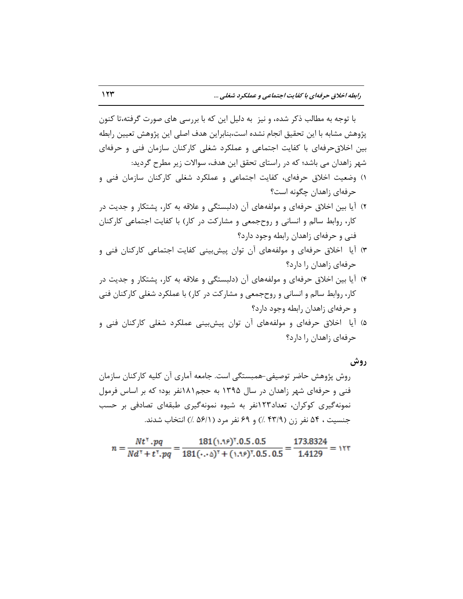با توجِه به مطالب ذکر شده، و نیز ۖ به دلیل این که با بررسی های صورت گرفته،تا کنون پژوهش مشابه با این تحقیق انجام نشده است،بنابراین هدف اصلی این پژوهش تعیین رابطه بین اخلاق حرفهای با کفایت اجتماعی و عملکرد شغلی کارکنان سازمان فنی و حرفهای شهر زاهدان می باشد؛ که در راستای تحقق این هدف، سوالات زیر مطرح گردید:

- ١) وضعیت اخلاق حرفهای، کفایت اجتماعی و عملکرد شغلی کارکنان سازمان فنی و حرفهای زاهدان چگونه است؟
- ۲) آیا بین اخلاق حرفهای و مولفههای آن (دلبستگی و علاقه به كار، پشتكار و جدیت در كار، روابط سالم و انسانی و روحجمعی و مشاركت در كار) با كفایت اجتماعی كاركنان فنی و حرفهای زاهدان رابطه وجود دارد؟
- ٣) آیا اخلاق حرفهای و مولفههای آن توان پیشبینی کفایت اجتماعی کارکنان فنی و حرفهای زاهدان را دارد؟
- ۴) آیا بین اخلاق حرفهای و مولفههای آن (دلبستگی و علاقه به كار، پشتكار و جدیت در كار، روابط سالم و انسانی و روحجمعی و مشاركت در كار) با عملكرد شغلی كاركنان فنی و حرفهای زاهدان رابطه وجود دارد؟
- ۵) آیا اخلاق حرفهای و مولفههای آن توان پیشبینی عملکرد شغلی کارکنان فنی و حرفهای زاهدان را دارد؟

**رٍش**

روش پژوهش حاضر توصیفی-همبستگی است. جامعه آماری آن کلیه کارکنان سازمان فنی و حرفهای شهر زاهدان در سال ۱۳۹۵ به حجم۱۸۱نفر بود؛ که بر اساس فرمول نمونهگیری کوکران، تعداد۱۲۳نفر به شیوه نمونهگیری طبقهای تصادفی بر حسب جنسیت ، ۵۴ نفر زن (۴۳/۹ ٪) و ۶۹ نفر مرد (۵۶/۱ ٪) انتخاب شدند.

$$
n = \frac{Nt^{\gamma} \cdot pq}{Nd^{\gamma} + t^{\gamma} \cdot pq} = \frac{181(\cdot.39)^{\gamma}.0.5.0.5}{181(\cdot.39)^{\gamma} + (\cdot.39)^{\gamma}.0.5.0.5} = \frac{173.8324}{1.4129} = 177
$$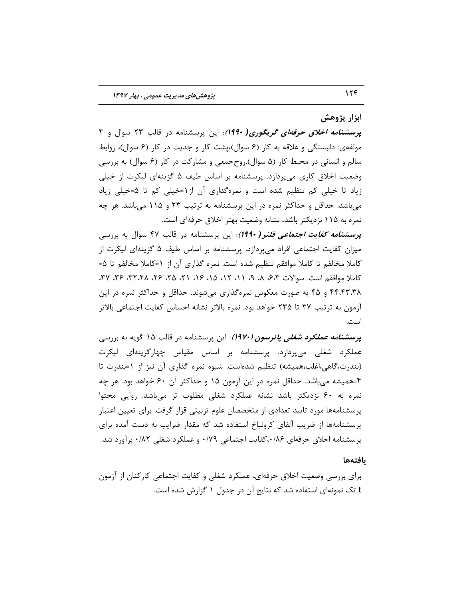## ابزار پژوهش

**پزسطٌاهِ اخالق حزفِای گزیگَری***(* **1990(**: ایي پطؾكٌبهِ زض لبلت 23 ؾَال ٍ 4 مولفهی: دلبستگی و علاقه به كار (۶ سوال)،پشت كار و جدیت در كار (۶ سوال)، روابط سالم و انسانی در محیط کار (۵ سوال)،روحجمعی و مشارکت در کار (۶ سوال) به بررسی وضعیت اخلاق کاری میپردازد. پرسشنامه بر اساس طیف ۵ گزینهای لیکرت از خیلی زیاد تا خیلی کم تنظیم شده است و نمرهگذاری آن از ۱=خیلی کم تا ۵=خیلی زیاد میباشد. حداقل و حداكثر نمره در این پرسشنامه به ترتیب ۲۳ و ۱۱۵ میباشد. هر چِه نمره به ۱۱۵ نزدیکتر باشد، نشانه وضعیت بهتر اخلاق حرفهای است.

**پرسشنامه کفایت اجتما***عی فلن***ر( ۱۹۹۰**): این پرسشنامه در قالب ۴۷ سوال به بررسی میزان کفایت اجتماعی افراد میپردازد. پرسشنامه بر اساس طیف ۵ گزینهای لیكرت از كاملا مخالفم تا كاملا موافقم تنظیم شده است. نمره گذاری آن از ١=كاملا مخالفم تا ۵= كاملا موافقم است. سوالات ۶،۳، ۸، ۹، ۱۱، ۱۲، ۱۵، ۱۶، ۲۱، ۲۵، ۲۶، ۲۲،۲۸ ، ۳۶، ۲۲، ۴۴،۴۳،۳۸ و ۴۵ به صورت معکوس نمرهگذاری میشوند. حداقل و حداکثر نمره در این آزمون به ترتیب ۴۷ تا ۲۳۵ خواهد بود. نمره بالاتر نشانه احساس کفایت اجتماعی بالاتر است.

**پرسشنامه عملکرد شغلبی** *پاترسون (۱۹۷۰)***: ا**ین پرسشنامه در قالب ۱۵ گویه به بررسی عملکرد شغلی میپردازد. پرسشنامه بر اساس مقیاس چهارگزینهای لیکرت (بندرت،گاهی،اغلب،همیشه) تنظیم شدهاست. شیوه نمره گذاری آن نیز از 1=بندرت تا ۴=همیشه میباشد. حداقل نمره در این آزمون ۱۵ و حداکثر آن ۶۰ خواهد بود. هر چِه نمره به ۶۰ نزدیکتر باشد نشانه عملکرد شغلی مطلوب تر می باشد. روایی محتوا پرسشنامهها مورد تایید تعدادی از متخصصان علوم تربیتی قرار گرفت. برای تعیین اعتبار پرسشنامهها از ضریب آلفای کرونباخ استفاده شد که مقدار ضرایب به دست آمده برای پرسشنامه اخلاق حرفهای ۰/۸۶،کفایت اجتماعی ۰/۷۹ و عملکرد شغلی ۰/۸۲ برآورد شد.

#### **یافتِّا**

برای بررسی وضعیت اخلاق حرفهای، عملکرد شغلی و کفایت اجتماعی کارکنان از آزمون **t** تک نمونهای استفاده شد که نتایج آن در جدول ۱ گزارش شده است.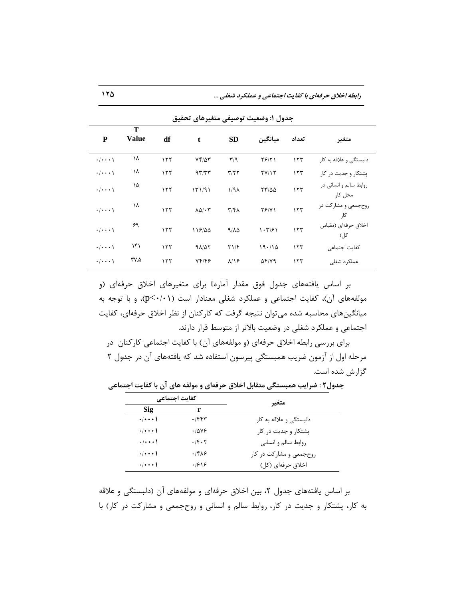**رابطِ اخالق حزفِای با کفایت اجتواعی ٍ عولکزد ضغلی ...** 125

| جدوں ۱: وصعیب نوصیفی متعیرهای تحقیق |                   |     |                           |                         |                             |       |                                   |
|-------------------------------------|-------------------|-----|---------------------------|-------------------------|-----------------------------|-------|-----------------------------------|
| P                                   | Т<br><b>Value</b> | df  | t                         | <b>SD</b>               | ميانگين                     | تعداد | متغير                             |
| $\cdot/\cdot\cdot\cdot$             | ١٨                | 157 | $Yf/\Delta Y$             | $\mathbf{r}/\mathbf{q}$ | $Y$ $5$ $/$ $Y$ $\setminus$ | 157   | دلېستگې و علاقه به کار            |
| $\cdot/\cdot\cdot\cdot$             | ١٨                | 157 | 97/T                      | $\tau/\tau\tau$         | YY/Y                        | 157   | یشتکار و جدیت در کار              |
| $\cdot$ / $\cdot$ $\cdot$ \         | ١۵                | 155 | 151/91                    | $1/9\lambda$            | $\tau\tau/\Delta\Delta$     | 157   | روابط سالم و انسانی در<br>محل کار |
| $\cdot$ / $\cdot$ $\cdot$ \         | ۱۸                | 155 | $\Lambda\Delta/\cdot\tau$ | $\mathbf{r}/\mathbf{r}$ | $Y \frac{6}{11}$            | 157   | روحجمعی و مشارکت در<br>کا,        |
| $\cdot$ / $\cdot$ $\cdot$ \         | ۶۹                | ۱۲۲ | 118/00                    | 9/10                    | 1.7791                      | 157   | اخلاق حرفهاي (مقياس<br>کل)        |
| $\cdot/\cdot\cdot\cdot$             | ۱۴۱               | 155 | 91/25                     | Y1/F                    | 19.110                      | 155   | كفايت اجتماعي                     |
| $\cdot/\cdot\cdot\cdot$             | ۳۷.۵              | ۱۲۲ | 74148                     | $\lambda/\lambda$       | $\Delta f/Y9$               | ۱۲۳   | عملکر د شغلی                      |

**جدٍل :1 ٍضعيت تَصيفی هتغيزّای تحميك**

بر اساس یافتههای جدول فوق مقدار آمارهt برای متغیرهای اخلاق حرفهای (و مولفههای آن)، کفایت اجتماعی و عملکرد شغلی معنادار است (p<٠/٠١)، و با توجه به میانگینهای محاسبه شده می توان نتیجه گرفت که کارکنان از نظر اخلاق حرفهای، کفایت اجتماعی و عملکرد شغلی در وضعیت بالاتر از متوسط قرار دارند.

برای بررسی رابطه اخلاق حرفهای (و مولفههای آن) با کفایت اجتماعی کارکنان در مرحله اول از آزمون ضریب همبستگی پیرسون استفاده شد که یافتههای آن در جدول ۲ گزارش شده است.

**جدٍل2 : ضزایب ّوبستگی هتمابل اخالق حزفِای ٍ هَلفِ ّای آى با کفایت اجتواعی** 

|                             | کفایت اجتماعے ِ      | متغير                   |  |  |
|-----------------------------|----------------------|-------------------------|--|--|
| Sig                         | r                    |                         |  |  |
| $\cdot$   $\cdot$ $\cdot$   | ۴۴۴۳.                | دلبستگی و علاقه به کار  |  |  |
| $\cdot$   $\cdot$ $\cdot$   | .7899                | پشتکار و جدیت در کار    |  |  |
| $\cdot$ / $\cdot$ $\cdot$ ) | $\cdot$ /۴ $\cdot$ ۲ | روابط سالم و انسانی     |  |  |
| $\cdot$   $\cdot$ $\cdot$   | .188                 | روحجمعی و مشارکت در کار |  |  |
| $\cdot$   $\cdot$ $\cdot$   | .1819                | اخلاق حرفهای (کل)       |  |  |

بر اساس یافتههای جدول ۲، بین اخلاق حرفهای و مولفههای آن (دلبستگی و علاقه به کار، پشتکار و جدیت در کار، روابط سالم و انسانی و روحجمعی و مشارکت در کار) با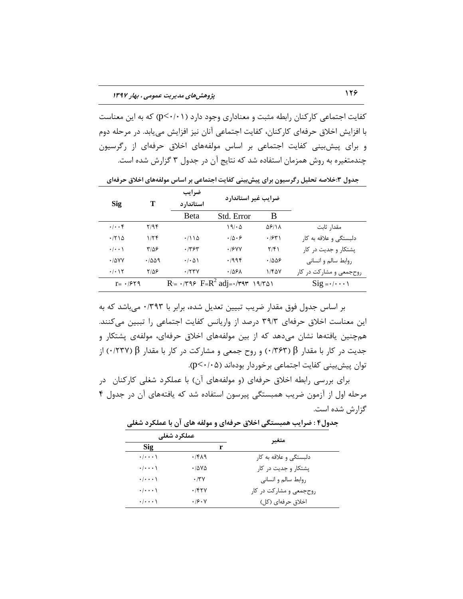کفایت اجتماعی کارکنان رابطه مثبت و معناداری وجود دارد (p<٠/٠١) که به این معناست با افزایش اخلاق حرفهای کارکنان، کفایت اجتماعی آنان نیز افزایش می یابد. در مرحله دوم و برای پیش بینی کفایت اجتماعی بر اساس مولفههای اخلاق حرفهای از رگرسیون چندمتغیره به روش همزمان استفاده شد که نتایج آن در جدول ۳ گزارش شده است.

| <b>Sig</b>                     | т     | ضرايب<br>استاندار د                 | ضرایب غیر استاندارد                               |               |                                                |
|--------------------------------|-------|-------------------------------------|---------------------------------------------------|---------------|------------------------------------------------|
|                                |       | <b>B</b> eta                        | Std. Error                                        | В             |                                                |
| $\cdot$ / $\cdot$ ۴            | ۲/۹۴  |                                     | 19/20                                             | $\Delta$ ۶/۱۸ | مقدا, ثابت                                     |
| .7710                          | 1/5   | $\cdot$ /114                        | $\cdot \overline{10} \cdot 5$                     | .754          | دلبستگی و علاقه به کا,                         |
| $\cdot$ $ \cdot \cdot \rangle$ | ۳۱۵۶  | ۶۳۶۳.                               | .79YY                                             | $\frac{7}{5}$ | یشتکار و جدیت در کار                           |
| $\cdot$ / $\Delta$ YY          | ۰۱۵۵۹ | $\cdot$ / $\cdot$ $\wedge$ $\wedge$ | ۰/۹۹۴                                             | ۰۱۵۵۶         | روابط سالم و انسانی                            |
| $\cdot$ / $\cdot$ / $\tau$     | 7/5۶  | .774                                | ۰/۵۶۸                                             | 1/FAY         | روحجمعی و مشارکت در کار                        |
| $r = -1959$                    |       |                                     | $R = \cdot$ /۳۹۶ $F=R^2$ adj= $\cdot$ /۳۹۳ ۱۹/۳۵۱ |               | $\text{Sig} = \cdot / \cdot \cdot \cdot \cdot$ |

جدول ٣:خلاصه تحلیل رگرسیون برای پیش بینی کفایت اجتماعی بر اساس مولفههای اخلاق حرفهای

بر اساس جدول فوق مقدار ضریب تبیین تعدیل شده، برابر با ۰/۳۹۳ میباشد که به این معناست اخلاق حرفهای ٣٩/٣ درصد از واریانس کفایت اجتماعی را تببین میکنند. همچنین یافتهها نشان میدهد که از بین مولفههای اخلاق حرفهای، مولفهی پشتکار و خسیت در کار با مقدار β( 0/37) و روح خمعی و مشارکت در کار با مقدار β( 0/337) از توان پیش بینی کفایت اجتماعی برخوردار بودهاند (p<۰/۰۵).

برای بررسی رابطه اخلاق حرفهای (و مولفههای آن) با عملکرد شغلی کارکنان در مرحله اول از آزمون ضریب همبستگی پیرسون استفاده شد که یافتههای آن در جدول ۴ گزارش شده است.

**هتغيز عولکزد ضغلی Sig r** دلبستگی و علاقه به کار ۲/۴۸۹ ۰/۰۰۰۱ (۰،۰۰۰ پشتكار و جديت در كار است ۰/۵۷۵ 0/۵۷۵ - ۰/۰۰۰۱ ضٍاثظ ؾبلن ٍ اًؿبًی 0/37 0/0001 روحجمعی و مشارکت در کار ۰/۴۲۷ ۰/۰۰۰۱ (۰،۰۰۰ اذالق حطفِای )ول( 0/607 0/0001

**جدٍل4 : ضزایب ّوبستگی اخالق حزفِای ٍ هَلفِ ّای آى با عولکزد ضغلی**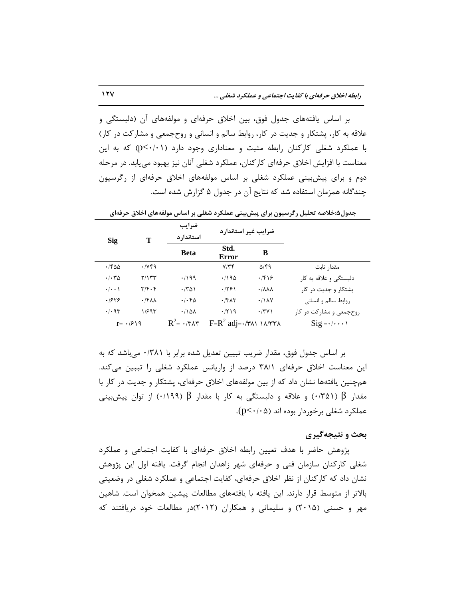بر اساس یافتههای جدول فوق، بین اخلاق حرفهای و مولفههای آن (دلبستگی و علاقه به كار، پشتكار و جدیت در كار، روابط سالم و انسانی و روحجمعی و مشاركت در كار) با عملکرد شغلی کارکنان رابطه مثبت و معناداری وجود دارد (p<۰/۰۱) که به این معناست با افزایش اخلاق حرفهای کارکنان، عملکرد شغلی آنان نیز بهبود می یابد. در مرحله دوم و برای پیشبیتی عملکرد شغلی بر اساس مولفههای اخلاق حرفهای از رگرسیون چندگانه همزمان استفاده شد که نتایج آن در جدول ۵ گزارش شده است.

| <b>Sig</b>                          | Т                                      | ضرايب<br>استاندار د        | ضرایب غیر استاندارد              |                                     |                                                |
|-------------------------------------|----------------------------------------|----------------------------|----------------------------------|-------------------------------------|------------------------------------------------|
|                                     |                                        | <b>Beta</b>                | Std.<br>Error                    | В                                   |                                                |
| $\cdot$ /۴۵۵                        | .1199                                  |                            | $Y/\tau f$                       | $\Delta$ /۴۹                        | مقدا, ثابت                                     |
| $\cdot$ / $\cdot$ $\uparrow \Delta$ | 7/177                                  | .799                       | .790                             | .199                                | دلبستگی و علاقه به کار                         |
| $\cdot$   $\cdot$ \                 | $\mathbf{r}/\mathbf{r}\cdot\mathbf{r}$ | .701                       | .1981                            | $\cdot$ / $\lambda \lambda \lambda$ | یشتکار و جدیت در کار                           |
| .1849                               | $\cdot$ /۴۸۸                           | $\cdot$ / $\cdot$ $6$      | $\cdot$ $/7\Lambda$              | $\cdot$ / $\lambda$ Y               | روابط سالم و انسانی                            |
| .49                                 | 1/995                                  | $\cdot$ /188               | .7719                            | $\cdot$ /۳۷۱                        | روحجمعی و مشارکت در کار                        |
| $r = \frac{1}{2}$                   |                                        | $R^2 = \cdot / r \wedge r$ | $F=R^2$ adj= $\cdot$ /۳۸۱ ۱۸/۳۳۸ |                                     | $\text{Sig} = \cdot / \cdot \cdot \cdot \cdot$ |

جِدول&:خلاصه تحليل رگرسيون براي پيش،بيني عملکرد شغلي بر اساس مولفههاي اخلاق حرفهاي

بر اساس جدول فوق، مقدار ضریب تبیین تعدیل شده برابر با ۰/۳۸۱ میباشد که به این معناست اخلاق حرفهای ۳۸/۱ درصد از واریانس عملکرد شغلی را تببین میکند. همچنین یافتهها نشان داد كه از بین مولفههای اخلاق حرفهای، پشتكار و جدیت در كار با مقدار β ( 0/31) و علاقه و دلبستگی به کار با مقدار β (١١٩٩) از توان پیشبینی عملکرد شغلی برخوردار بوده اند (p<۰/۰۵).

#### **بحث ٍ ًتيجِگيزی**

پژوهش حاضر با هدف تعیین رابطه اخلاق حرفهای با کفایت اجتماعی و عملکرد شغلی کارکنان سازمان فنی و حرفهای شهر زاهدان انجام گرفت. یافته اول این پژوهش نشان داد که کارکنان از نظر اخلاق حرفهای، کفایت اجتماعی و عملکرد شغلی در وضعیتی بالاتر از متوسط قرار دارند. این یافته با یافتههای مطالعات پیشین همخوان است. شاهین مهر و حسنی (۲۰۱۵) و سلیمانی و همکاران (۲۰۱۲)در مطالعات خود دریافتند که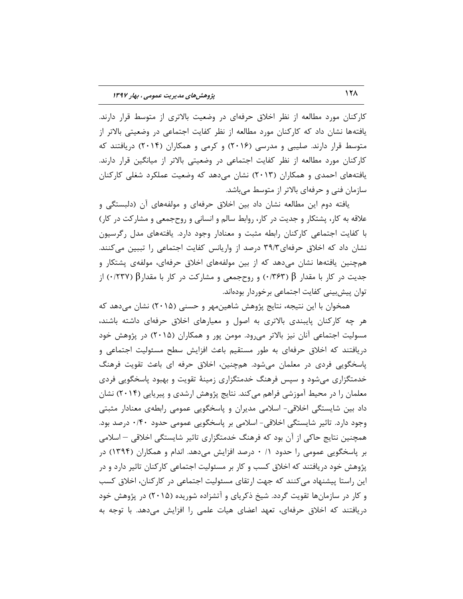کارکنان مورد مطالعه از نظر اخلاق حرفهای در وضعیت بالاتری از متوسط قرار دارند. یافتهها نشان داد که کارکنان مورد مطالعه از نظر کفایت اجتماعی در وضعیتی بالاتر از متوسط قرار دارند. صلیبی و مدرسی (۲۰۱۶) و کرمی و همکاران (۲۰۱۴) دریافتند که کارکنان مورد مطالعه از نظر کفایت اجتماعی در وضعیتی بالاتر از میانگین قرار دارند. یافتههای احمدی و همکاران (۲۰۱۳) نشان می۵هد که وضعیت عملکرد شغلی کارکنان سازمان فنی و حرفهای بالاتر از متوسط میباشد.

یافتِه دوم این مطالعه نشان داد بین اخلاق حرفهای و مولفِهِهای آن (دلبستگی و علاقه به کار، پشتکار و جدیت در کار، روابط سالم و انسانی و روحجمعی و مشارکت در کار) با کفایت اجتماعی کارکنان رابطه مثبت و معنادار وجود دارد. یافتههای مدل رگرسیون نشان داد که اخلاق حرفهای۳۹/۳ درصد از واریانس کفایت اجتماعی را تببین میکنند. همچنین یافتهها نشان میدهد که از بین مولفههای اخلاق حرفهای، مولفهی پشتکار و جدیت در کار با مقدار  $\beta$  ( 0/38) و روحجمعی و مشارکت در کار با مقدار $\beta$  (1877) از توان پیش بینی کفایت اجتماعی برخوردار بودهاند.

همخوان با این نتیجه، نتایج پژوهش شاهینِ ههر و حسنی (۲۰۱۵) نشان میدهد که هر چِه کارکنان پایبندی بالاتری به اصول و معیارهای اخلاق حرفهای داشته باشند، مسولیت اجتماعی انان نیز بالاتر میرود. مومن پور و همکاران (۲۰۱۵) در پژوهش خود دریافتند که اخلاق حرفهای به طور مستقیم باعث افزایش سطح مسئولیت اجتماعی و پاسخگویی فردی در معلمان میشود. همچنین، اخلاق حرفه ای باعث تقویت فرهنگ خدمتگزاری میشود و سپس فرهنگ خدمتگزاری زمینهٔ تقویت و بهبود پاسخگویی فردی معلمان را در محیط آموزشی فراهم میکند. نتایج پژوهش ارشدی و پیریایی (۲۰۱۴) نشان داد بین شایستگی اخلاقی- اسلامی مدیران و پاسخگویی عمومی رابطهی معنادار مثبتی وجود دارد. تاثیر شایستگی اخلاقی- اسلامی بر پاسخگویی عمومی حدود ۰/۴۰ درصد بود. همچنین نتایج حاکی از آن بود که فرهنگ خدمتگزاری تاثیر شایستگی اخلاقی – اسلامی بر پاسخگویی عمومی را حدود ۰/ ۰ درصد افزایش میدهد. اندام و همکاران (۱۳۹۴) در پژوهش خود دریافتند که اخلاق کسب وِ کار بر مسئولیت اجتماعی کارکنان تاثیر دارد و در این راستا پیشنهاد می كنند كه جهت ارتقای مسئولیت اجتماعی در كاركنان، اخلاق كسب و کار در سازمانها تقویت گردد. شیخ ذکریای و آتشزاده شوریده (۲۰۱۵) در پژوهش خود دریافتند که اخلاق حرفهای، تعهد اعضای هیات علمی را افزایش میدهد. با توجه به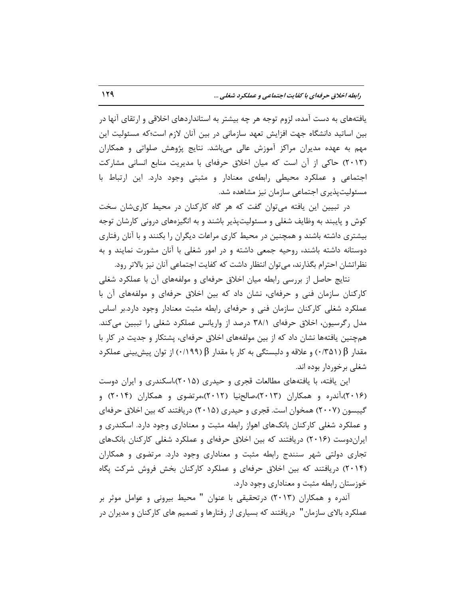یافتههای به دست آمده، لزوم توجه هر چِه بیشتر به استانداردهای اخلاقی و ارتقای انها در بین اساتید دانشگاه جهت افزایش تعهد سازمانی در بین آنان لازم است؛که مسئولیت این مهم به عهده مدیران مراکز آموزش عالی میباشد. نتایج پژوهش صلواتی و همکاران (۲۰۱۳) حاكی از آن است كه میان اخلاق حرفهای با مدیریت منابع انسانی مشاركت اجتماعی و عملکرد محیطی رابطهی معنادار و مثبتی وجود دارد. این ارتباط با مسئولیتپذیری اجتماعی سازمان نیز مشاهده شد.

در تبیین این یافته می توان گفت که هر گاه کارکنان در محیط کاریشان سخت کوش و پایبند به وظایف شغلی و مسئولیتپذیر باشند و به انگیزههای درونی کارشان توجه بیشتری داشته باشند و همچنین در محیط كاری مراعات دیگران را بكنند و با آنان رفتاری دوستانه داشته باشند، روحیه جمعی داشته و در امور شغلی با آنان مشورت نمایند و به نظراتشان احترام بگذارند، می توان انتظار داشت که کفایت اجتماعی آنان نیز بالاتر رود.

نتایج حاصل از بررسی رابطه میان اخلاق حرفهای و مولفهِهای آن با عملکرد شغلی كاركنان سازمان فنی و حرفهای، نشان داد كه بین اخلاق حرفهای و مولفههای آن با عملکرد شغلی کارکنان سازمان فنی و حرفهای رابطه مثبت معنادار وجود دارد.بر اساس مدل رگرسیون، اخلاق حرفهای ۳۸/۱ درصد از واریانس عملکرد شغلی را تببین میکند. همچنین یافتهها نشان داد كه از بین مولفههای اخلاق حرفهای، پشتكار و جدیت در كار با مقدار β( ( 0/31) و علاقه و دلبستگی به کار با مقدار β ( 0/199) از توان پیش بینی عملکر د شغلی برخوردار بوده اند.

این یافته، با یافتههای مطالعات قجری و حیدری (۲۰۱۵)،اسکندری و ایران دوست (۲۰۱۶)،آندره و همکاران (۲۰۱۳)،صالحنیا (۲۰۱۲)،مرتضوی و همکاران (۲۰۱۴) و گیبسون (۲۰۰۷) همخوان است. قجری و حیدری (۲۰۱۵) دریافتند که بین اخلاق حرفهای و عملکرد شغلی کارکنان بانکهای اهواز رابطه مثبت و معناداری وجود دارد. اسکندری و ایرانِدوست (۲۰۱۶) دریافتند که بین اخلاق حرفهای و عملکرد شغلی کارکنان بانکهای تجاری دولتی شهر سنندج رابطه مثبت و معناداری وجود دارد. مرتضوی و همکاران (۲۰۱۴) دریافتند که بین اخلاق حرفهای و عملکرد کارکنان بخش فروش شرکت پگاه خوزستان رابطه مثبت و معناداری وجود دارد.

آندره و همکاران (۲۰۱۳) درتحقیقی با عنوان " محیط بیرونی و عوامل موثر بر عملکرد بالای سازمان" دریافتند که بسیاری از رفتارها و تصمیم های کارکنان و مدیران در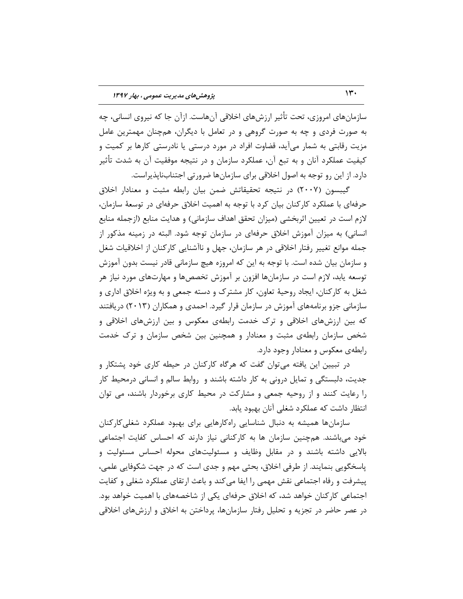سازمانِهای امروزی، تحت تأثیر ارزشهای اخلاقی آنهاست. ازآن جا که نیروی انسانی، چِه به صورت فردی و چِه به صورت گروهی و در تعامل با دیگران، همچنان مهمترین عامل مزیت رقابتی به شمار میآید، قضاوت افراد در مورد درستی یا نادرستی کارها بر کمیت و کیفیت عملکرد آنان و به تبع آن، عملکرد سازمان و در نتیجه موفقیت آن به شدت تأثیر دارد. از این رو توجه به اصول اخلاقی برای سازمانها ضرورتی اجتنابنایذیراست.

گیبسون (۲۰۰۷) در نتیجه تحقیقاتش ضمن بیان رابطه مثبت و معنادار اخلاق حرفهای با عملکرد کارکنان بیان کرد با توجِه به اهمیت اخلاق حرفهای در توسعهٔ سازمان، لازم است در تعیین اثربخشی (میزان تحقق اهداف سازمانی) و هدایت منابع (ازجمله منابع انسانی) به میزان آموزش اخلاق حرفهای در سازمان توجه شود. البته در زمینه مذکور از جمله موانع تغییر رفتار اخلاقی در هر سازمان، جهل و ناآشنایی کارکنان از اخلاقیات شغل و سازمان بیان شده است. با توجه به این که امروزه هیچ سازمانی قادر نیست بدون آموزش توسعه یابد، لازم است در سازمانها افزون بر آموزش تخصصها و مهارتهاى مورد نیاز هر شغل به کارکنان، ایجاد روحیهٔ تعاون، کار مشترک و دسته جمعی و به ویژه اخلاق اداری و سازمانی جزو برنامههای آموزش در سازمان قرار گیرد. احمدی و همکاران (۲۰۱۳) دریافتند که بین ارزشهای اخلاقی و ترک خدمت رابطهی معکوس و بین ارزشهای اخلاقی و شخص سازمان رابطهی مثبت و معنادار و همچنین بین شخص سازمان و ترک خدمت رابطهی معکوس و معنادار وجود دارد.

در تبیین این یافته میتوان گفت كه هرگاه كاركنان در حیطه كارى خود پشتكار و جدیت، دلبستگی و تمایل درونی به کار داشته باشند و روابط سالم و انسانی درمحیط کار را رعایت كنند و از روحیه جمعی و مشاركت در محیط كاری برخوردار باشند، می توان انتظار داشت که عملکرد شغلی آنان بهبود یابد.

سازمانها همیشه به دنبال شناسایی راهکارهایی برای بهبود عملکرد شغلیکارکنان خود می باشند. همچنین سازمان ها به کارکنانی نیاز دارند که احساس کفایت اجتماعی بالایی داشته باشند و در مقابل وظایف و مسئولیتهای محوله احساس مسئولیت و پاسخگویی بنمایند. از طرفی اخلاق، بحثی مهم و جدی است که در جهت شکوفایی علمی، پیشرفت و رفاه اجتماعی نقش مهمی را ایفا می كند و باعث ارتقای عملكرد شغلی و كفایت اجتماعی کارکنان خواهد شد، که اخلاق حرفهای یکی از شاخصههای با اهمیت خواهد بود. در عصر حاضر در تجزیه و تحلیل رفتار سازمانها، پرداختن به اخلاق و ارزشهای اخلاقی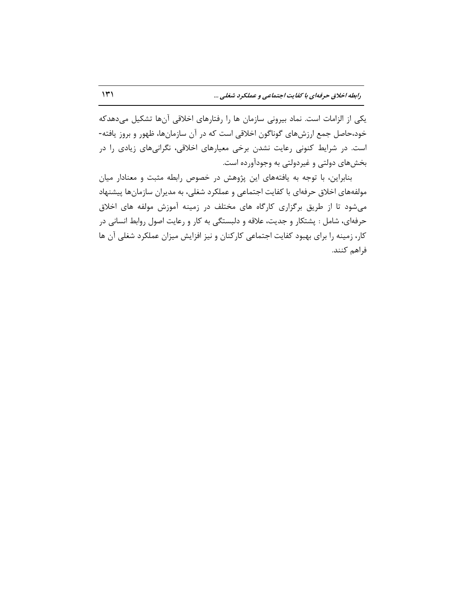یکی از الزامات است. نماد بیرونی سازمان ها را رفتارهای اخلاقی آنها تشکیل میدهدکه خود،حاصل جمع ارزشهاى گوناگون اخلاقى است كه در آن سازمانها، ظهور و بروز یافته-است. در شرایط كنونی رعایت نشدن برخی معیارهای اخلاقی، نگرانیهای زیادی را در بخشهای دولتی و غیردولتی به وجودآورده است.

بنابراین، با توجه به یافتههای این پژوهش در خصوص رابطه مثبت و معنادار میان مولفههای اخلاق حرفهای با كفایت اجتماعی و عملكرد شغلی، به مدیران سازمانها پیشنهاد می شود تا از طریق برگزاری کارگاه های مختلف در زمینه آموزش مولفه های اخلاق حرفهای، شامل : پشتكار و جدیت، علاقه و دلبستگی به كار و رعایت اصول روابط انسانی در کار، زمینه را برای بهبود کفایت اجتماعی کارکنان و نیز افزایش میزان عملکرد شغلی آن ها فراهم كنند.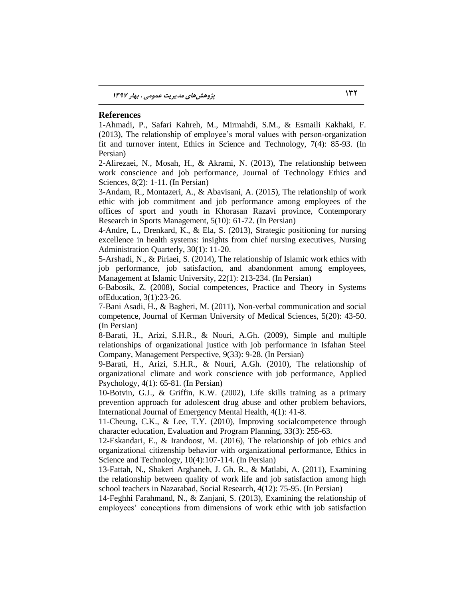#### **References**

1-Ahmadi, P., Safari Kahreh, M., Mirmahdi, S.M., & Esmaili Kakhaki, F. (2013), The relationship of employee's moral values with person-organization fit and turnover intent, Ethics in Science and Technology, 7(4): 85-93. (In Persian)

2-Alirezaei, N., Mosah, H., & Akrami, N. (2013), The relationship between work conscience and job performance, Journal of Technology Ethics and Sciences, 8(2): 1-11. (In Persian)

3-Andam, R., Montazeri, A., & Abavisani, A. (2015), The relationship of work ethic with job commitment and job performance among employees of the offices of sport and youth in Khorasan Razavi province, Contemporary Research in Sports Management, 5(10): 61-72. (In Persian)

4-Andre, L., Drenkard, K., & Ela, S. (2013), Strategic positioning for nursing excellence in health systems: insights from chief nursing executives, Nursing Administration Quarterly, 30(1): 11-20.

5-Arshadi, N., & Piriaei, S. (2014), The relationship of Islamic work ethics with job performance, job satisfaction, and abandonment among employees, Management at Islamic University, 22(1): 213-234. (In Persian)

6-Babosik, Z. (2008), Social competences, Practice and Theory in Systems ofEducation, 3(1):23-26.

7-Bani Asadi, H., & Bagheri, M. (2011), Non-verbal communication and social competence, Journal of Kerman University of Medical Sciences, 5(20): 43-50. (In Persian)

8-Barati, H., Arizi, S.H.R., & Nouri, A.Gh. (2009), Simple and multiple relationships of organizational justice with job performance in Isfahan Steel Company, Management Perspective, 9(33): 9-28. (In Persian)

9-Barati, H., Arizi, S.H.R., & Nouri, A.Gh. (2010), The relationship of organizational climate and work conscience with job performance, Applied Psychology, 4(1): 65-81. (In Persian)

10-Botvin, G.J., & Griffin, K.W. (2002), Life skills training as a primary prevention approach for adolescent drug abuse and other problem behaviors, International Journal of Emergency Mental Health, 4(1): 41-8.

11-Cheung, C.K., & Lee, T.Y. (2010), Improving socialcompetence through character education, Evaluation and Program Planning, 33(3): 255-63.

12-Eskandari, E., & Irandoost, M. (2016), The relationship of job ethics and organizational citizenship behavior with organizational performance, Ethics in Science and Technology, 10(4):107-114. (In Persian)

13-Fattah, N., Shakeri Arghaneh, J. Gh. R., & Matlabi, A. (2011), Examining the relationship between quality of work life and job satisfaction among high school teachers in Nazarabad, Social Research, 4(12): 75-95. (In Persian)

14-Feghhi Farahmand, N., & Zanjani, S. (2013), Examining the relationship of employees' conceptions from dimensions of work ethic with job satisfaction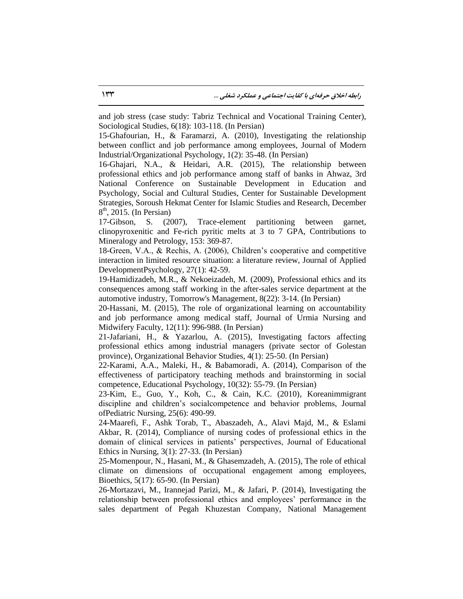and job stress (case study: Tabriz Technical and Vocational Training Center), Sociological Studies, 6(18): 103-118. (In Persian)

15-Ghafourian, H., & Faramarzi, A. (2010), Investigating the relationship between conflict and job performance among employees, Journal of Modern Industrial/Organizational Psychology, 1(2): 35-48. (In Persian)

16-Ghajari, N.A., & Heidari, A.R. (2015), The relationship between professional ethics and job performance among staff of banks in Ahwaz, 3rd National Conference on Sustainable Development in Education and Psychology, Social and Cultural Studies, Center for Sustainable Development Strategies, Soroush Hekmat Center for Islamic Studies and Research, December  $8<sup>th</sup>$ , 2015. (In Persian)

17-Gibson, S. (2007), Trace-element partitioning between garnet, clinopyroxenitic and Fe-rich pyritic melts at 3 to 7 GPA, Contributions to Mineralogy and Petrology, 153: 369-87.

18-Green, V.A., & Rechis, A. (2006), Children's cooperative and competitive interaction in limited resource situation: a literature review, Journal of Applied DevelopmentPsychology, 27(1): 42-59.

19-Hamidizadeh, M.R., & Nekoeizadeh, M. (2009), Professional ethics and its consequences among staff working in the after-sales service department at the automotive industry, Tomorrow's Management, 8(22): 3-14. (In Persian)

20-Hassani, M. (2015), The role of organizational learning on accountability and job performance among medical staff, Journal of Urmia Nursing and Midwifery Faculty, 12(11): 996-988. (In Persian)

21-Jafariani, H., & Yazarlou, A. (2015), Investigating factors affecting professional ethics among industrial managers (private sector of Golestan province), Organizational Behavior Studies, 4(1): 25-50. (In Persian)

22-Karami, A.A., Maleki, H., & Babamoradi, A. (2014), Comparison of the effectiveness of participatory teaching methods and brainstorming in social competence, Educational Psychology, 10(32): 55-79. (In Persian)

23-Kim, E., Guo, Y., Koh, C., & Cain, K.C. (2010), Koreanimmigrant discipline and children's socialcompetence and behavior problems, Journal ofPediatric Nursing, 25(6): 490-99.

24-Maarefi, F., Ashk Torab, T., Abaszadeh, A., Alavi Majd, M., & Eslami Akbar, R. (2014), Compliance of nursing codes of professional ethics in the domain of clinical services in patients' perspectives, Journal of Educational Ethics in Nursing, 3(1): 27-33. (In Persian)

25-Momenpour, N., Hasani, M., & Ghasemzadeh, A. (2015), The role of ethical climate on dimensions of occupational engagement among employees, Bioethics, 5(17): 65-90. (In Persian)

26-Mortazavi, M., Irannejad Parizi, M., & Jafari, P. (2014), Investigating the relationship between professional ethics and employees' performance in the sales department of Pegah Khuzestan Company, National Management